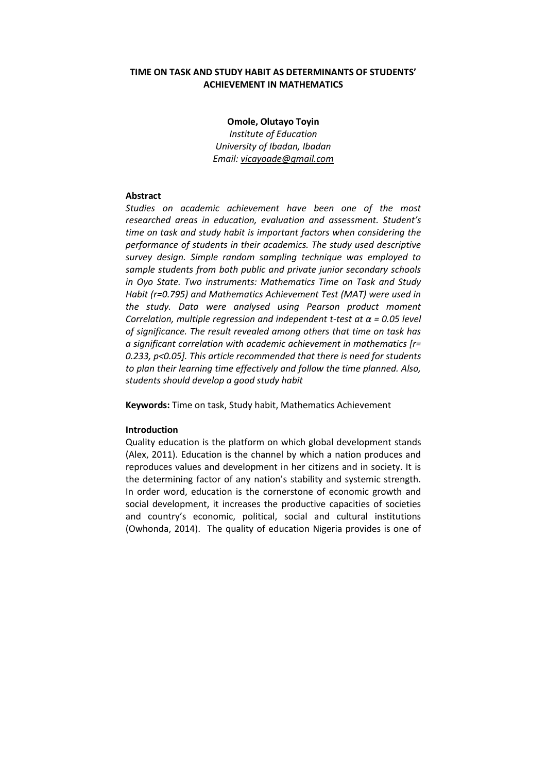# **TIME ON TASK AND STUDY HABIT AS DETERMINANTS OF STUDENTS' ACHIEVEMENT IN MATHEMATICS**

**Omole, Olutayo Toyin**  *Institute of Education University of Ibadan, Ibadan Email: vicayoade@gmail.com*

# **Abstract**

*Studies on academic achievement have been one of the most researched areas in education, evaluation and assessment. Student's time on task and study habit is important factors when considering the performance of students in their academics. The study used descriptive survey design. Simple random sampling technique was employed to sample students from both public and private junior secondary schools in Oyo State. Two instruments: Mathematics Time on Task and Study Habit (r=0.795) and Mathematics Achievement Test (MAT) were used in the study. Data were analysed using Pearson product moment Correlation, multiple regression and independent t-test at α = 0.05 level of significance. The result revealed among others that time on task has a significant correlation with academic achievement in mathematics [r= 0.233, p<0.05]. This article recommended that there is need for students to plan their learning time effectively and follow the time planned. Also, students should develop a good study habit*

**Keywords:** Time on task, Study habit, Mathematics Achievement

## **Introduction**

Quality education is the platform on which global development stands (Alex, 2011). Education is the channel by which a nation produces and reproduces values and development in her citizens and in society. It is the determining factor of any nation's stability and systemic strength. In order word, education is the cornerstone of economic growth and social development, it increases the productive capacities of societies and country's economic, political, social and cultural institutions (Owhonda, 2014). The quality of education Nigeria provides is one of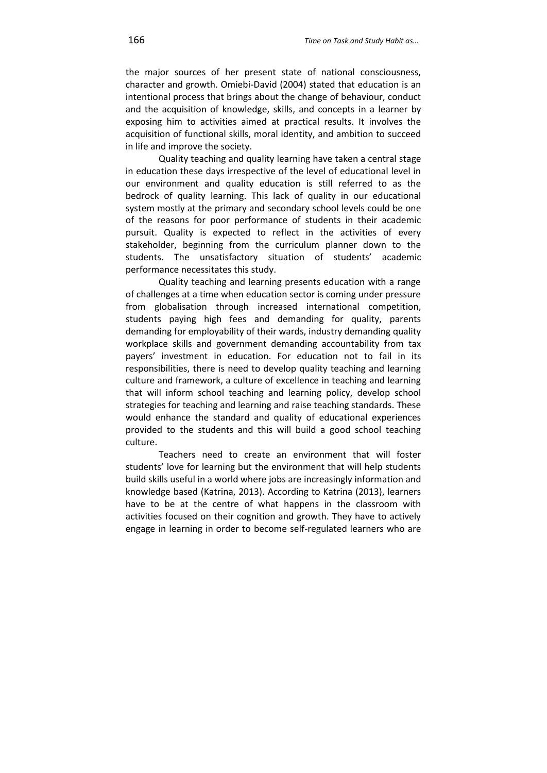the major sources of her present state of national consciousness, character and growth. Omiebi-David (2004) stated that education is an intentional process that brings about the change of behaviour, conduct and the acquisition of knowledge, skills, and concepts in a learner by exposing him to activities aimed at practical results. It involves the acquisition of functional skills, moral identity, and ambition to succeed in life and improve the society.

Quality teaching and quality learning have taken a central stage in education these days irrespective of the level of educational level in our environment and quality education is still referred to as the bedrock of quality learning. This lack of quality in our educational system mostly at the primary and secondary school levels could be one of the reasons for poor performance of students in their academic pursuit. Quality is expected to reflect in the activities of every stakeholder, beginning from the curriculum planner down to the students. The unsatisfactory situation of students' academic performance necessitates this study.

Quality teaching and learning presents education with a range of challenges at a time when education sector is coming under pressure from globalisation through increased international competition, students paying high fees and demanding for quality, parents demanding for employability of their wards, industry demanding quality workplace skills and government demanding accountability from tax payers' investment in education. For education not to fail in its responsibilities, there is need to develop quality teaching and learning culture and framework, a culture of excellence in teaching and learning that will inform school teaching and learning policy, develop school strategies for teaching and learning and raise teaching standards. These would enhance the standard and quality of educational experiences provided to the students and this will build a good school teaching culture.

Teachers need to create an environment that will foster students' love for learning but the environment that will help students build skills useful in a world where jobs are increasingly information and knowledge based (Katrina, 2013). According to Katrina (2013), learners have to be at the centre of what happens in the classroom with activities focused on their cognition and growth. They have to actively engage in learning in order to become self-regulated learners who are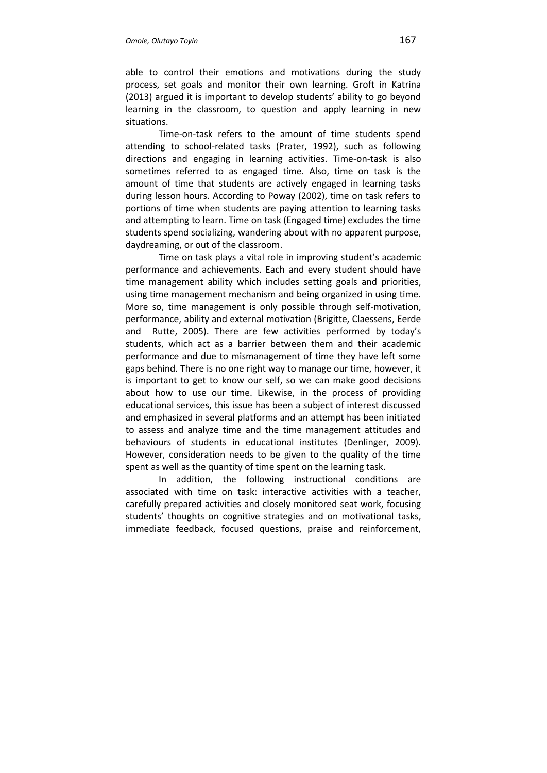able to control their emotions and motivations during the study process, set goals and monitor their own learning. Groft in Katrina (2013) argued it is important to develop students' ability to go beyond learning in the classroom, to question and apply learning in new situations.

Time-on-task refers to the amount of time students spend attending to school-related tasks (Prater, 1992), such as following directions and engaging in learning activities. Time-on-task is also sometimes referred to as engaged time. Also, time on task is the amount of time that students are actively engaged in learning tasks during lesson hours. According to Poway (2002), time on task refers to portions of time when students are paying attention to learning tasks and attempting to learn. Time on task (Engaged time) excludes the time students spend socializing, wandering about with no apparent purpose, daydreaming, or out of the classroom.

Time on task plays a vital role in improving student's academic performance and achievements. Each and every student should have time management ability which includes setting goals and priorities, using time management mechanism and being organized in using time. More so, time management is only possible through self-motivation, performance, ability and external motivation (Brigitte, Claessens, Eerde and Rutte, 2005). There are few activities performed by today's students, which act as a barrier between them and their academic performance and due to mismanagement of time they have left some gaps behind. There is no one right way to manage our time, however, it is important to get to know our self, so we can make good decisions about how to use our time. Likewise, in the process of providing educational services, this issue has been a subject of interest discussed and emphasized in several platforms and an attempt has been initiated to assess and analyze time and the time management attitudes and behaviours of students in educational institutes (Denlinger, 2009). However, consideration needs to be given to the quality of the time spent as well as the quantity of time spent on the learning task.

In addition, the following instructional conditions are associated with time on task: interactive activities with a teacher, carefully prepared activities and closely monitored seat work, focusing students' thoughts on cognitive strategies and on motivational tasks, immediate feedback, focused questions, praise and reinforcement,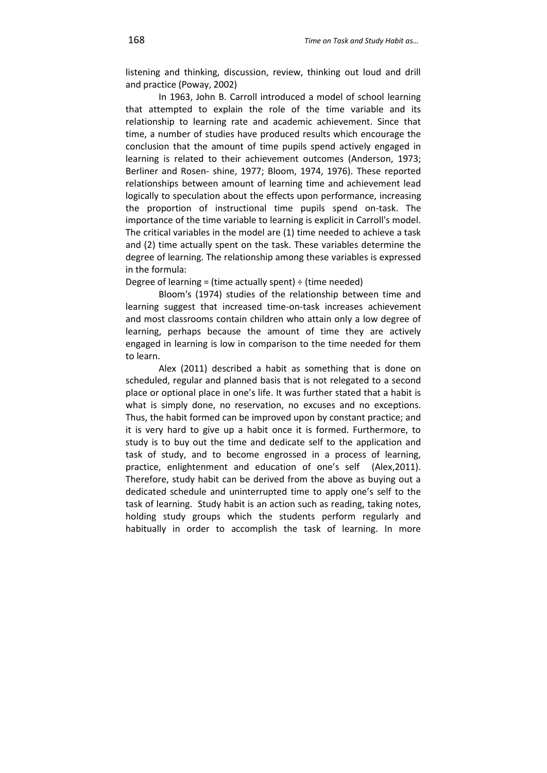listening and thinking, discussion, review, thinking out loud and drill and practice (Poway, 2002)

In 1963, John B. Carroll introduced a model of school learning that attempted to explain the role of the time variable and its relationship to learning rate and academic achievement. Since that time, a number of studies have produced results which encourage the conclusion that the amount of time pupils spend actively engaged in learning is related to their achievement outcomes (Anderson, 1973; Berliner and Rosen- shine, 1977; Bloom, 1974, 1976). These reported relationships between amount of learning time and achievement lead logically to speculation about the effects upon performance, increasing the proportion of instructional time pupils spend on-task. The importance of the time variable to learning is explicit in Carroll's model. The critical variables in the model are (1) time needed to achieve a task and (2) time actually spent on the task. These variables determine the degree of learning. The relationship among these variables is expressed in the formula:

Degree of learning = (time actually spent)  $\div$  (time needed)

Bloom's (1974) studies of the relationship between time and learning suggest that increased time-on-task increases achievement and most classrooms contain children who attain only a low degree of learning, perhaps because the amount of time they are actively engaged in learning is low in comparison to the time needed for them to learn.

Alex (2011) described a habit as something that is done on scheduled, regular and planned basis that is not relegated to a second place or optional place in one's life. It was further stated that a habit is what is simply done, no reservation, no excuses and no exceptions. Thus, the habit formed can be improved upon by constant practice; and it is very hard to give up a habit once it is formed. Furthermore, to study is to buy out the time and dedicate self to the application and task of study, and to become engrossed in a process of learning, practice, enlightenment and education of one's self (Alex,2011). Therefore, study habit can be derived from the above as buying out a dedicated schedule and uninterrupted time to apply one's self to the task of learning. Study habit is an action such as reading, taking notes, holding study groups which the students perform regularly and habitually in order to accomplish the task of learning. In more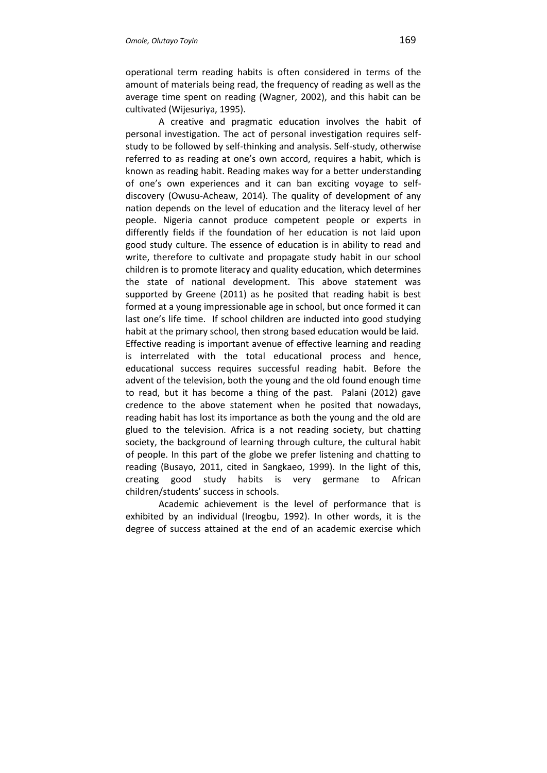operational term reading habits is often considered in terms of the amount of materials being read, the frequency of reading as well as the average time spent on reading (Wagner, 2002), and this habit can be cultivated (Wijesuriya, 1995).

A creative and pragmatic education involves the habit of personal investigation. The act of personal investigation requires selfstudy to be followed by self-thinking and analysis. Self-study, otherwise referred to as reading at one's own accord, requires a habit, which is known as reading habit. Reading makes way for a better understanding of one's own experiences and it can ban exciting voyage to selfdiscovery (Owusu-Acheaw, 2014). The quality of development of any nation depends on the level of education and the literacy level of her people. Nigeria cannot produce competent people or experts in differently fields if the foundation of her education is not laid upon good study culture. The essence of education is in ability to read and write, therefore to cultivate and propagate study habit in our school children is to promote literacy and quality education, which determines the state of national development. This above statement was supported by Greene (2011) as he posited that reading habit is best formed at a young impressionable age in school, but once formed it can last one's life time. If school children are inducted into good studying habit at the primary school, then strong based education would be laid. Effective reading is important avenue of effective learning and reading is interrelated with the total educational process and hence, educational success requires successful reading habit. Before the advent of the television, both the young and the old found enough time to read, but it has become a thing of the past. Palani (2012) gave credence to the above statement when he posited that nowadays, reading habit has lost its importance as both the young and the old are glued to the television. Africa is a not reading society, but chatting society, the background of learning through culture, the cultural habit of people. In this part of the globe we prefer listening and chatting to reading (Busayo, 2011, cited in Sangkaeo, 1999). In the light of this, creating good study habits is very germane to African children/students' success in schools.

Academic achievement is the level of performance that is exhibited by an individual (Ireogbu, 1992). In other words, it is the degree of success attained at the end of an academic exercise which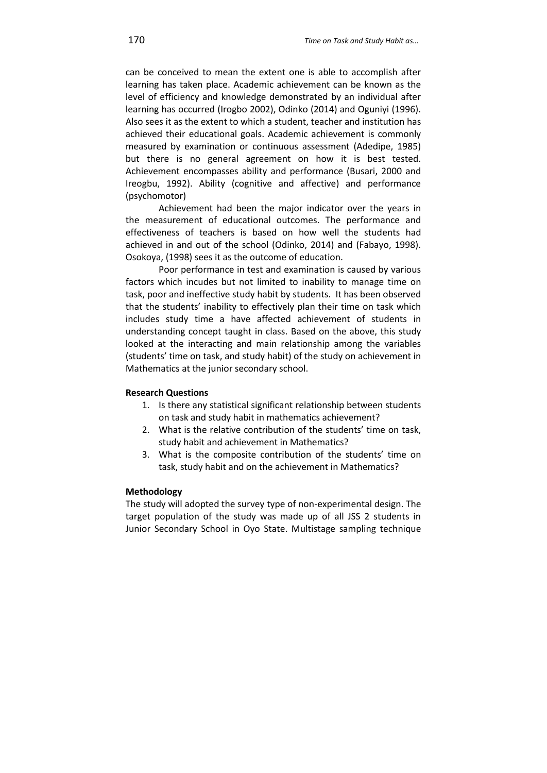can be conceived to mean the extent one is able to accomplish after learning has taken place. Academic achievement can be known as the level of efficiency and knowledge demonstrated by an individual after learning has occurred (Irogbo 2002), Odinko (2014) and Oguniyi (1996). Also sees it as the extent to which a student, teacher and institution has achieved their educational goals. Academic achievement is commonly measured by examination or continuous assessment (Adedipe, 1985) but there is no general agreement on how it is best tested. Achievement encompasses ability and performance (Busari, 2000 and Ireogbu, 1992). Ability (cognitive and affective) and performance (psychomotor)

Achievement had been the major indicator over the years in the measurement of educational outcomes. The performance and effectiveness of teachers is based on how well the students had achieved in and out of the school (Odinko, 2014) and (Fabayo, 1998). Osokoya, (1998) sees it as the outcome of education.

Poor performance in test and examination is caused by various factors which incudes but not limited to inability to manage time on task, poor and ineffective study habit by students. It has been observed that the students' inability to effectively plan their time on task which includes study time a have affected achievement of students in understanding concept taught in class. Based on the above, this study looked at the interacting and main relationship among the variables (students' time on task, and study habit) of the study on achievement in Mathematics at the junior secondary school.

#### **Research Questions**

- 1. Is there any statistical significant relationship between students on task and study habit in mathematics achievement?
- 2. What is the relative contribution of the students' time on task, study habit and achievement in Mathematics?
- 3. What is the composite contribution of the students' time on task, study habit and on the achievement in Mathematics?

#### **Methodology**

The study will adopted the survey type of non-experimental design. The target population of the study was made up of all JSS 2 students in Junior Secondary School in Oyo State. Multistage sampling technique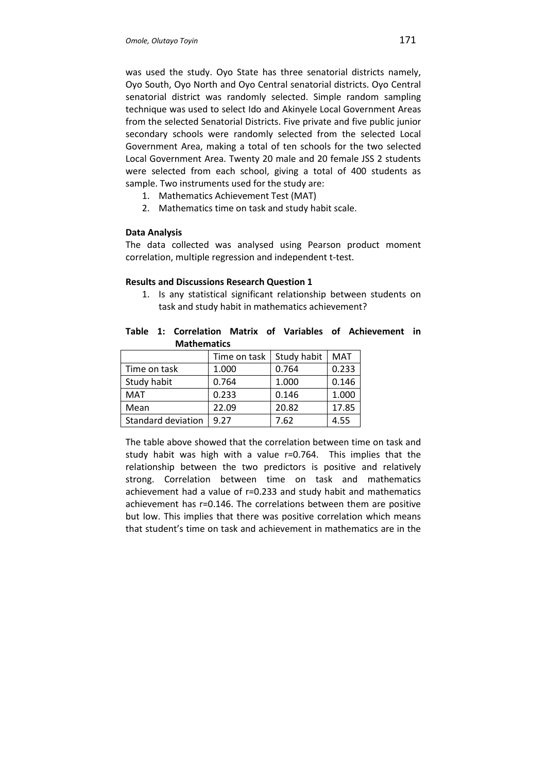was used the study. Oyo State has three senatorial districts namely, Oyo South, Oyo North and Oyo Central senatorial districts. Oyo Central senatorial district was randomly selected. Simple random sampling technique was used to select Ido and Akinyele Local Government Areas from the selected Senatorial Districts. Five private and five public junior secondary schools were randomly selected from the selected Local Government Area, making a total of ten schools for the two selected Local Government Area. Twenty 20 male and 20 female JSS 2 students were selected from each school, giving a total of 400 students as sample. Two instruments used for the study are:

- 1. Mathematics Achievement Test (MAT)
- 2. Mathematics time on task and study habit scale.

## **Data Analysis**

The data collected was analysed using Pearson product moment correlation, multiple regression and independent t-test.

#### **Results and Discussions Research Question 1**

1. Is any statistical significant relationship between students on task and study habit in mathematics achievement?

|  |                    |  |  | Table 1: Correlation Matrix of Variables of Achievement in |  |
|--|--------------------|--|--|------------------------------------------------------------|--|
|  | <b>Mathematics</b> |  |  |                                                            |  |

|                    | Time on task | Study habit | <b>MAT</b> |
|--------------------|--------------|-------------|------------|
| Time on task       | 1.000        | 0.764       | 0.233      |
| Study habit        | 0.764        | 1.000       | 0.146      |
| MAT                | 0.233        | 0.146       | 1.000      |
| Mean               | 22.09        | 20.82       | 17.85      |
| Standard deviation | 9.27         | 7.62        | 4.55       |

The table above showed that the correlation between time on task and study habit was high with a value r=0.764. This implies that the relationship between the two predictors is positive and relatively strong. Correlation between time on task and mathematics achievement had a value of r=0.233 and study habit and mathematics achievement has r=0.146. The correlations between them are positive but low. This implies that there was positive correlation which means that student's time on task and achievement in mathematics are in the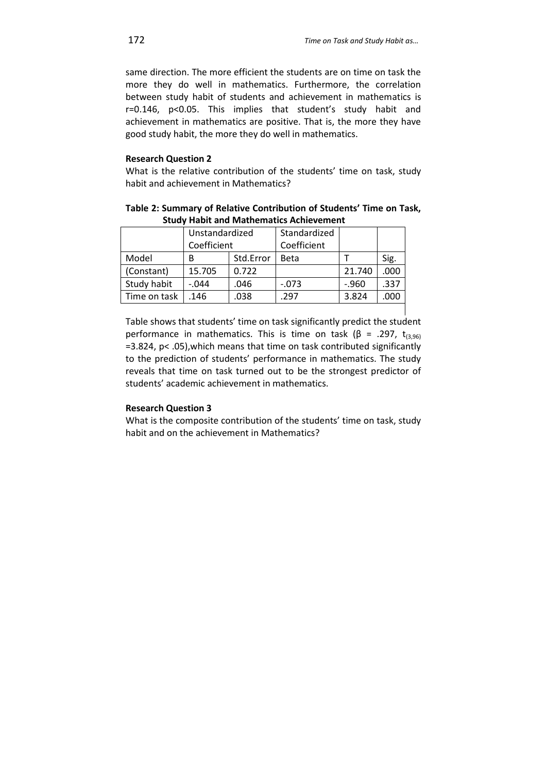same direction. The more efficient the students are on time on task the more they do well in mathematics. Furthermore, the correlation between study habit of students and achievement in mathematics is r=0.146, p<0.05. This implies that student's study habit and achievement in mathematics are positive. That is, the more they have good study habit, the more they do well in mathematics.

# **Research Question 2**

What is the relative contribution of the students' time on task, study habit and achievement in Mathematics?

| Table 2: Summary of Relative Contribution of Students' Time on Task, |  |
|----------------------------------------------------------------------|--|
| <b>Study Habit and Mathematics Achievement</b>                       |  |

|              | Unstandardized<br>Coefficient |           | Standardized<br>Coefficient |          |      |
|--------------|-------------------------------|-----------|-----------------------------|----------|------|
| Model        | B                             | Std.Error | <b>Beta</b>                 |          | Sig. |
| (Constant)   | 15.705                        | 0.722     |                             | 21.740   | .000 |
| Study habit  | $-.044$                       | .046      | $-.073$                     | $-0.960$ | .337 |
| Time on task | .146                          | .038      | 297                         | 3.824    | .000 |

Table shows that students' time on task significantly predict the student performance in mathematics. This is time on task (β = .297,  $t_{(3,96)}$ =3.824, p< .05),which means that time on task contributed significantly to the prediction of students' performance in mathematics. The study reveals that time on task turned out to be the strongest predictor of students' academic achievement in mathematics.

# **Research Question 3**

What is the composite contribution of the students' time on task, study habit and on the achievement in Mathematics?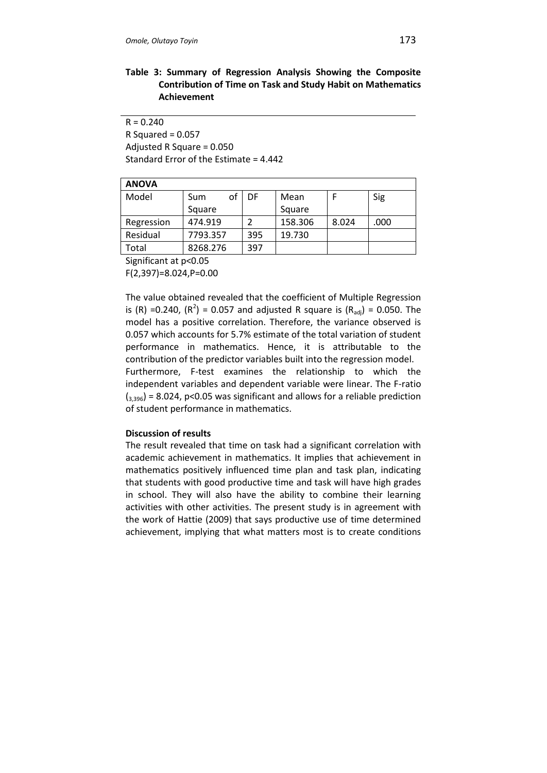# **Table 3: Summary of Regression Analysis Showing the Composite Contribution of Time on Task and Study Habit on Mathematics Achievement**

 $R = 0.240$ 

 $R$  Squared = 0.057 Adjusted R Square = 0.050 Standard Error of the Estimate = 4.442

| ۸<br>n<br>V |
|-------------|
|-------------|

| ANUVA      |           |     |         |       |      |  |  |  |
|------------|-----------|-----|---------|-------|------|--|--|--|
| Model      | оf<br>Sum | DF  | Mean    |       | Sig  |  |  |  |
|            | Square    |     | Square  |       |      |  |  |  |
| Regression | 474.919   |     | 158.306 | 8.024 | .000 |  |  |  |
| Residual   | 7793.357  | 395 | 19.730  |       |      |  |  |  |
| Total      | 8268.276  | 397 |         |       |      |  |  |  |

Significant at p<0.05

F(2,397)=8.024,P=0.00

The value obtained revealed that the coefficient of Multiple Regression is (R) =0.240, (R<sup>2</sup>) = 0.057 and adjusted R square is (R<sub>adj</sub>) = 0.050. The model has a positive correlation. Therefore, the variance observed is 0.057 which accounts for 5.7% estimate of the total variation of student performance in mathematics. Hence, it is attributable to the contribution of the predictor variables built into the regression model. Furthermore, F-test examines the relationship to which the independent variables and dependent variable were linear. The F-ratio  $\left(3,396\right)$  = 8.024, p<0.05 was significant and allows for a reliable prediction of student performance in mathematics.

# **Discussion of results**

The result revealed that time on task had a significant correlation with academic achievement in mathematics. It implies that achievement in mathematics positively influenced time plan and task plan, indicating that students with good productive time and task will have high grades in school. They will also have the ability to combine their learning activities with other activities. The present study is in agreement with the work of Hattie (2009) that says productive use of time determined achievement, implying that what matters most is to create conditions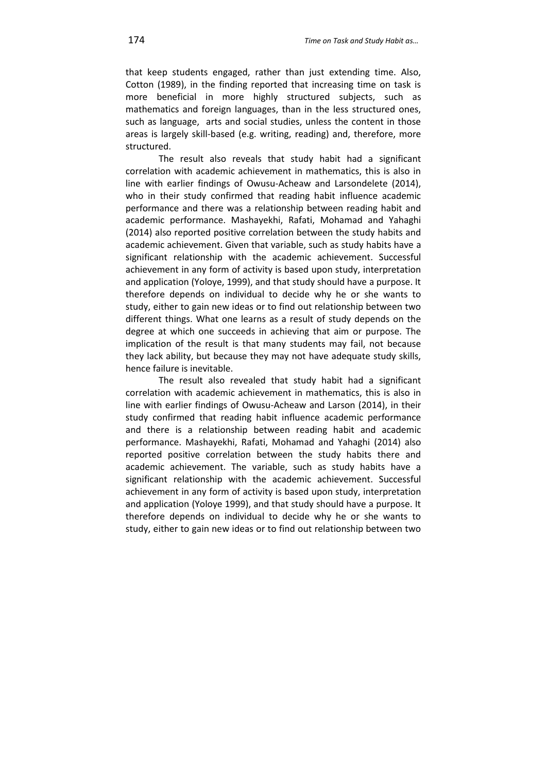that keep students engaged, rather than just extending time. Also, Cotton (1989), in the finding reported that increasing time on task is more beneficial in more highly structured subjects, such as mathematics and foreign languages, than in the less structured ones, such as language, arts and social studies, unless the content in those areas is largely skill-based (e.g. writing, reading) and, therefore, more structured.

The result also reveals that study habit had a significant correlation with academic achievement in mathematics, this is also in line with earlier findings of Owusu-Acheaw and Larsondelete (2014), who in their study confirmed that reading habit influence academic performance and there was a relationship between reading habit and academic performance. Mashayekhi, Rafati, Mohamad and Yahaghi (2014) also reported positive correlation between the study habits and academic achievement. Given that variable, such as study habits have a significant relationship with the academic achievement. Successful achievement in any form of activity is based upon study, interpretation and application (Yoloye, 1999), and that study should have a purpose. It therefore depends on individual to decide why he or she wants to study, either to gain new ideas or to find out relationship between two different things. What one learns as a result of study depends on the degree at which one succeeds in achieving that aim or purpose. The implication of the result is that many students may fail, not because they lack ability, but because they may not have adequate study skills, hence failure is inevitable.

The result also revealed that study habit had a significant correlation with academic achievement in mathematics, this is also in line with earlier findings of Owusu-Acheaw and Larson (2014), in their study confirmed that reading habit influence academic performance and there is a relationship between reading habit and academic performance. Mashayekhi, Rafati, Mohamad and Yahaghi (2014) also reported positive correlation between the study habits there and academic achievement. The variable, such as study habits have a significant relationship with the academic achievement. Successful achievement in any form of activity is based upon study, interpretation and application (Yoloye 1999), and that study should have a purpose. It therefore depends on individual to decide why he or she wants to study, either to gain new ideas or to find out relationship between two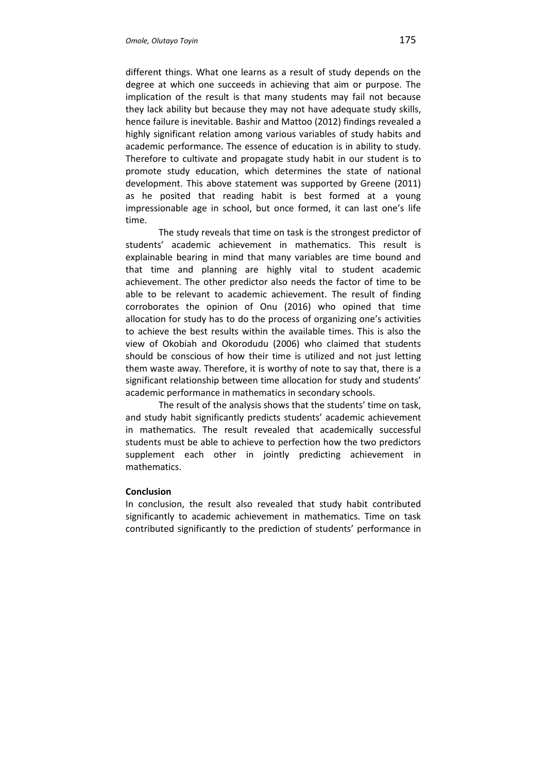different things. What one learns as a result of study depends on the degree at which one succeeds in achieving that aim or purpose. The implication of the result is that many students may fail not because they lack ability but because they may not have adequate study skills, hence failure is inevitable. Bashir and Mattoo (2012) findings revealed a highly significant relation among various variables of study habits and academic performance. The essence of education is in ability to study. Therefore to cultivate and propagate study habit in our student is to promote study education, which determines the state of national development. This above statement was supported by Greene (2011) as he posited that reading habit is best formed at a young impressionable age in school, but once formed, it can last one's life time.

The study reveals that time on task is the strongest predictor of students' academic achievement in mathematics. This result is explainable bearing in mind that many variables are time bound and that time and planning are highly vital to student academic achievement. The other predictor also needs the factor of time to be able to be relevant to academic achievement. The result of finding corroborates the opinion of Onu (2016) who opined that time allocation for study has to do the process of organizing one's activities to achieve the best results within the available times. This is also the view of Okobiah and Okorodudu (2006) who claimed that students should be conscious of how their time is utilized and not just letting them waste away. Therefore, it is worthy of note to say that, there is a significant relationship between time allocation for study and students' academic performance in mathematics in secondary schools.

The result of the analysis shows that the students' time on task, and study habit significantly predicts students' academic achievement in mathematics. The result revealed that academically successful students must be able to achieve to perfection how the two predictors supplement each other in jointly predicting achievement in mathematics.

## **Conclusion**

In conclusion, the result also revealed that study habit contributed significantly to academic achievement in mathematics. Time on task contributed significantly to the prediction of students' performance in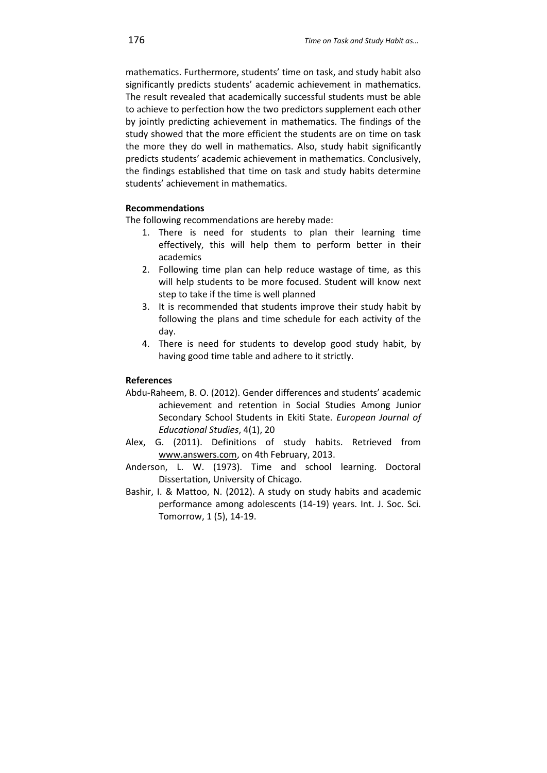mathematics. Furthermore, students' time on task, and study habit also significantly predicts students' academic achievement in mathematics. The result revealed that academically successful students must be able to achieve to perfection how the two predictors supplement each other by jointly predicting achievement in mathematics. The findings of the study showed that the more efficient the students are on time on task the more they do well in mathematics. Also, study habit significantly predicts students' academic achievement in mathematics. Conclusively, the findings established that time on task and study habits determine students' achievement in mathematics.

# **Recommendations**

The following recommendations are hereby made:

- 1. There is need for students to plan their learning time effectively, this will help them to perform better in their academics
- 2. Following time plan can help reduce wastage of time, as this will help students to be more focused. Student will know next step to take if the time is well planned
- 3. It is recommended that students improve their study habit by following the plans and time schedule for each activity of the day.
- 4. There is need for students to develop good study habit, by having good time table and adhere to it strictly.

# **References**

- Abdu-Raheem, B. O. (2012). Gender differences and students' academic achievement and retention in Social Studies Among Junior Secondary School Students in Ekiti State. *European Journal of Educational Studies*, 4(1), 20
- Alex, G. (2011). Definitions of study habits. Retrieved from www.answers.com, on 4th February, 2013.
- Anderson, L. W. (1973). Time and school learning. Doctoral Dissertation, University of Chicago.
- Bashir, I. & Mattoo, N. (2012). A study on study habits and academic performance among adolescents (14-19) years. Int. J. Soc. Sci. Tomorrow, 1 (5), 14-19.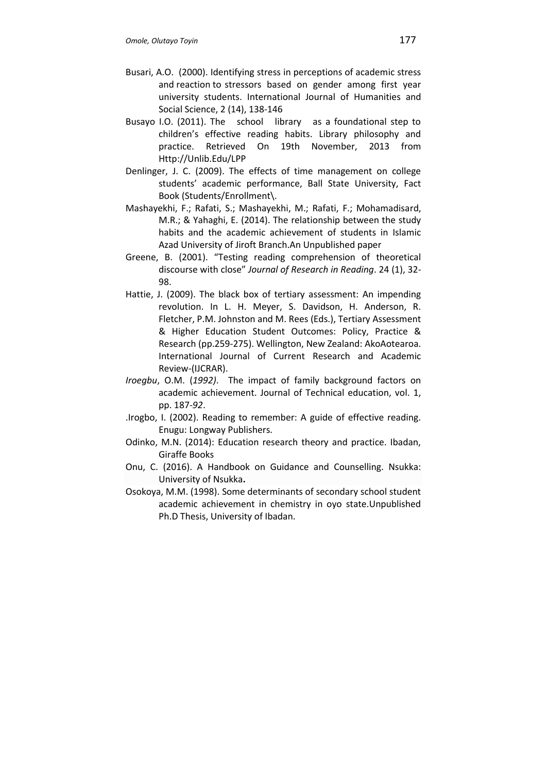- Busari, A.O. (2000). Identifying stress in perceptions of academic stress and reaction to stressors based on gender among first year university students. International Journal of Humanities and Social Science, 2 (14), 138-146
- Busayo I.O. (2011). The school library as a foundational step to children's effective reading habits. Library philosophy and practice. Retrieved On 19th November, 2013 from Http://Unlib.Edu/LPP
- Denlinger, J. C. (2009). The effects of time management on college students' academic performance, Ball State University, Fact Book (Students/Enrollment\.
- Mashayekhi, F.; Rafati, S.; Mashayekhi, M.; Rafati, F.; Mohamadisard, M.R.; & Yahaghi, E. (2014). The relationship between the study habits and the academic achievement of students in Islamic Azad University of Jiroft Branch.An Unpublished paper
- Greene, B. (2001). "Testing reading comprehension of theoretical discourse with close" *Journal of Research in Reading*. 24 (1), 32- 98.
- Hattie, J. (2009). The black box of tertiary assessment: An impending revolution. In L. H. Meyer, S. Davidson, H. Anderson, R. Fletcher, P.M. Johnston and M. Rees (Eds.), Tertiary Assessment & Higher Education Student Outcomes: Policy, Practice & Research (pp.259-275). Wellington, New Zealand: AkoAotearoa. International Journal of Current Research and Academic Review-(IJCRAR).
- *Iroegbu*, O.M. (*1992)*. The impact of family background factors on academic achievement. Journal of Technical education, vol. 1, pp. 187-*92*.
- .Irogbo, I. (2002). Reading to remember: A guide of effective reading. Enugu: Longway Publishers.
- Odinko, M.N. (2014): Education research theory and practice. Ibadan, Giraffe Books
- Onu, C. (2016). A Handbook on Guidance and Counselling. Nsukka: University of Nsukka**.**
- Osokoya, M.M. (1998). Some determinants of secondary school student academic achievement in chemistry in oyo state.Unpublished Ph.D Thesis, University of Ibadan.